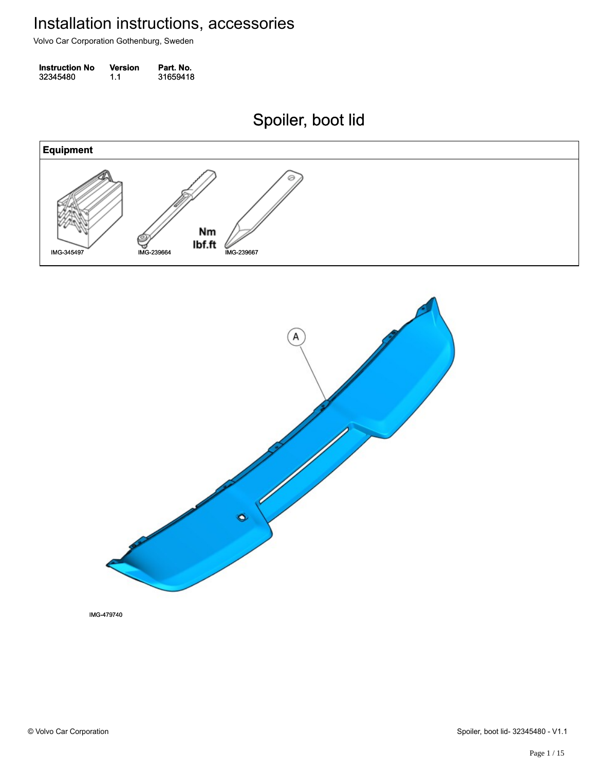Volvo Car Corporation Gothenburg, Sweden

| <b>Instruction No</b> | <b>Version</b> | Part. No. |
|-----------------------|----------------|-----------|
| 32345480              | 1.1            | 31659418  |

Spoiler, boot lid Spoiler, boot lid



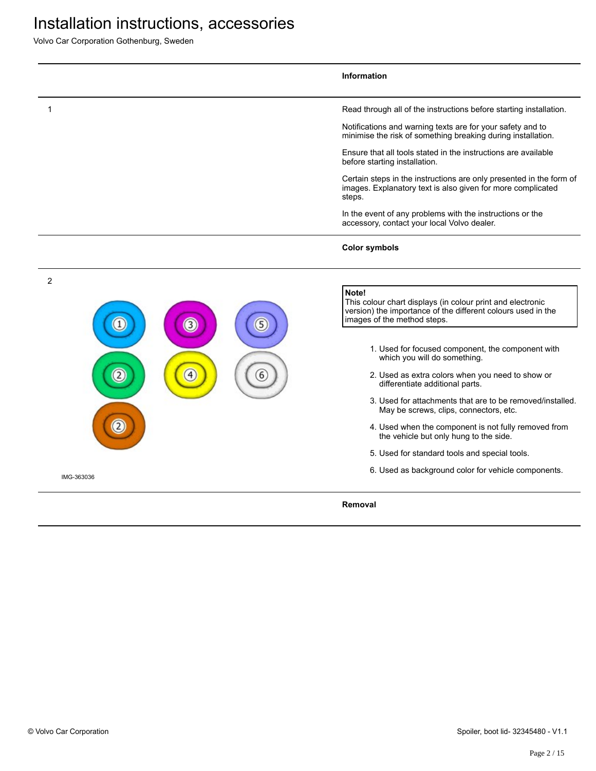|            |                  |   | <b>Information</b>                                                                                                                                                 |
|------------|------------------|---|--------------------------------------------------------------------------------------------------------------------------------------------------------------------|
|            |                  |   | Read through all of the instructions before starting installation.                                                                                                 |
|            |                  |   | Notifications and warning texts are for your safety and to<br>minimise the risk of something breaking during installation.                                         |
|            |                  |   | Ensure that all tools stated in the instructions are available<br>before starting installation.                                                                    |
|            |                  |   | Certain steps in the instructions are only presented in the form of<br>images. Explanatory text is also given for more complicated<br>steps.                       |
|            |                  |   | In the event of any problems with the instructions or the<br>accessory, contact your local Volvo dealer.                                                           |
|            |                  |   | <b>Color symbols</b>                                                                                                                                               |
| 2          |                  |   |                                                                                                                                                                    |
|            | $\left(3\right)$ | 5 | Note!<br>This colour chart displays (in colour print and electronic<br>version) the importance of the different colours used in the<br>images of the method steps. |
|            |                  |   | 1. Used for focused component, the component with<br>which you will do something.                                                                                  |
|            | 4                | 6 | 2. Used as extra colors when you need to show or<br>differentiate additional parts.                                                                                |
|            |                  |   | 3. Used for attachments that are to be removed/installed.<br>May be screws, clips, connectors, etc.                                                                |
|            |                  |   | 4. Used when the component is not fully removed from<br>the vehicle but only hung to the side.                                                                     |
|            |                  |   | 5. Used for standard tools and special tools.                                                                                                                      |
| IMG-363036 |                  |   | 6. Used as background color for vehicle components.                                                                                                                |
|            |                  |   | Removal                                                                                                                                                            |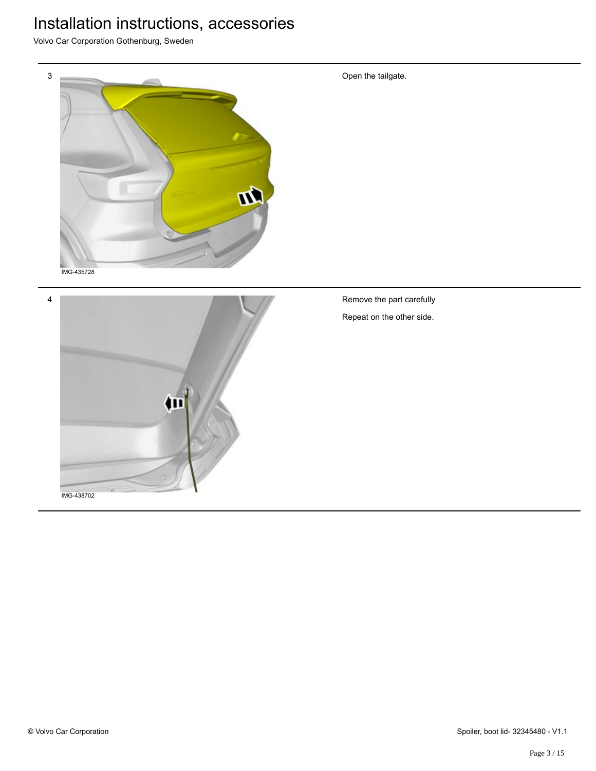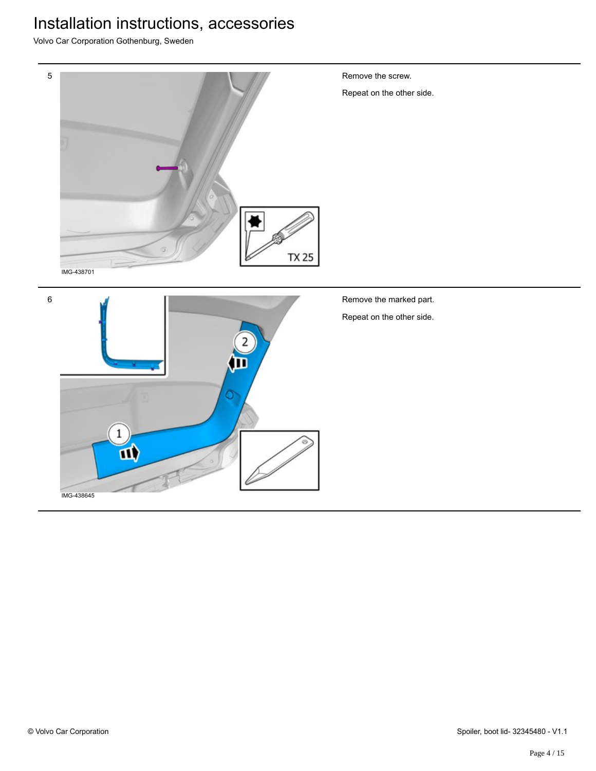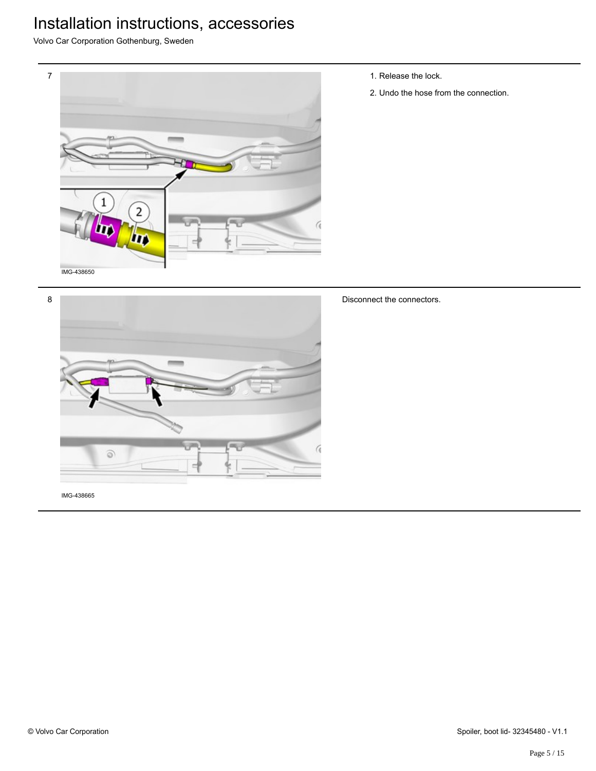Volvo Car Corporation Gothenburg, Sweden



1. Release the lock.

Disconnect the connectors.

2. Undo the hose from the connection.

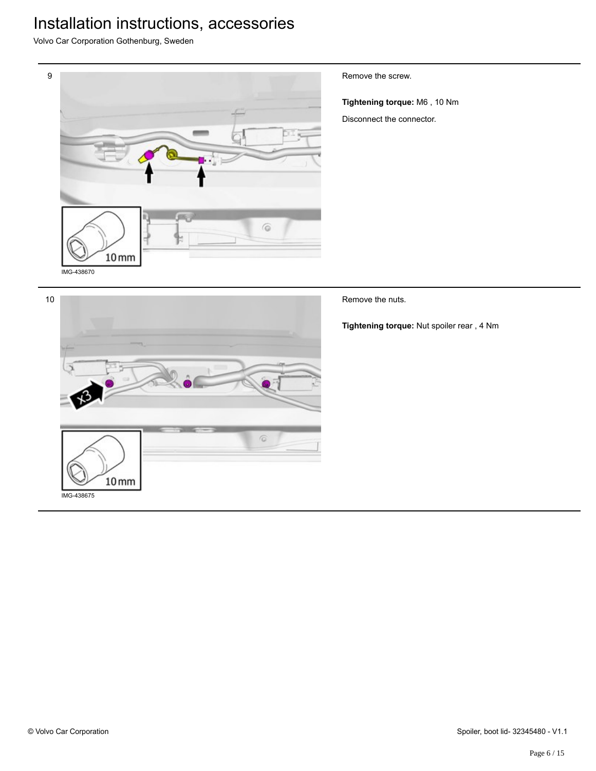Volvo Car Corporation Gothenburg, Sweden



Remove the screw.

**Tightening torque:** M6 , 10 Nm Disconnect the connector.

 $\overline{6}$ 

Remove the nuts.

**Tightening torque:** Nut spoiler rear , 4 Nm

IMG-438675

 $10<sub>mm</sub>$ 

10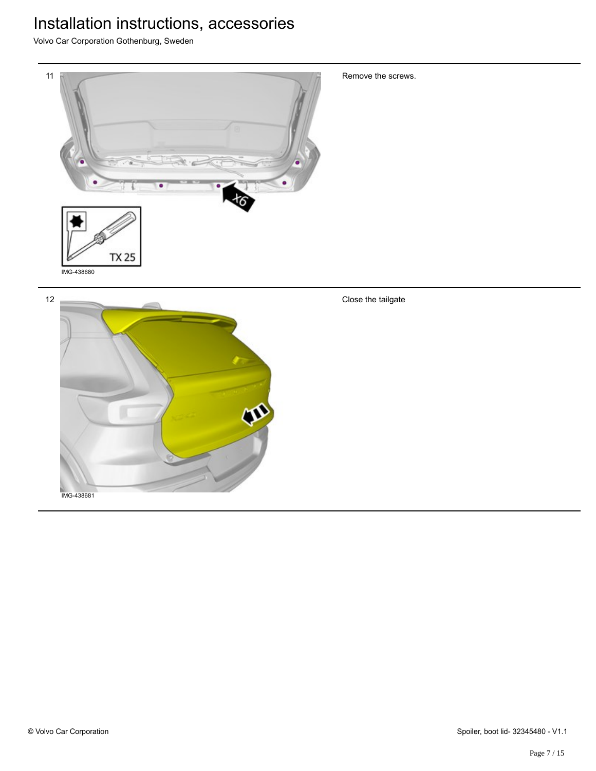Volvo Car Corporation Gothenburg, Sweden



Remove the screws.

Close the tailgate

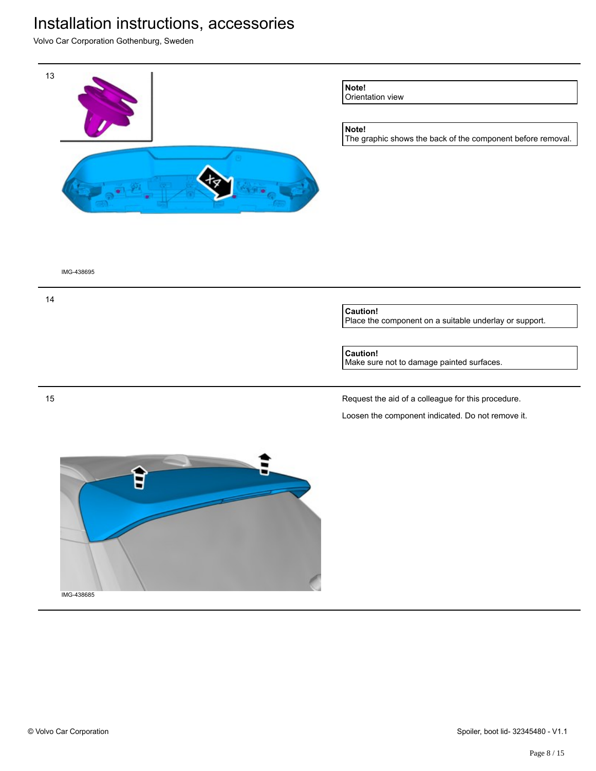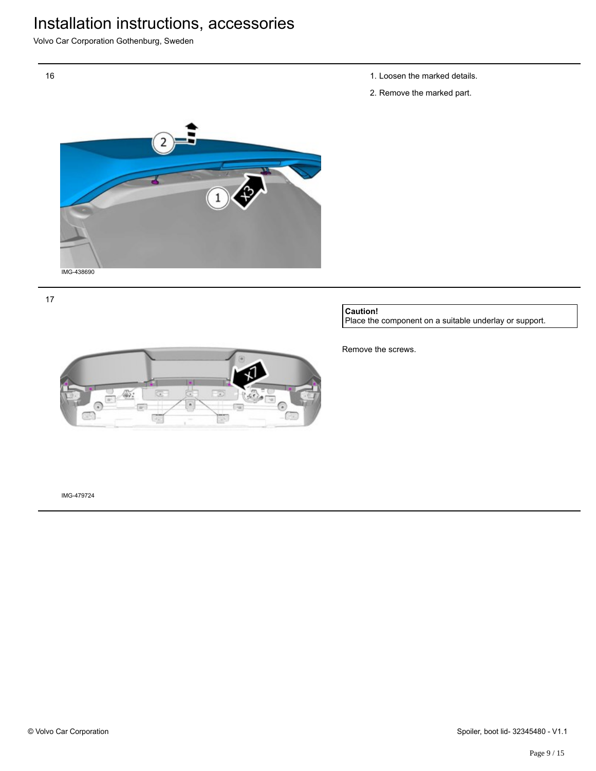Volvo Car Corporation Gothenburg, Sweden



17

16

1. Loosen the marked details.

2. Remove the marked part.

**Caution!**

Place the component on a suitable underlay or support.



Remove the screws.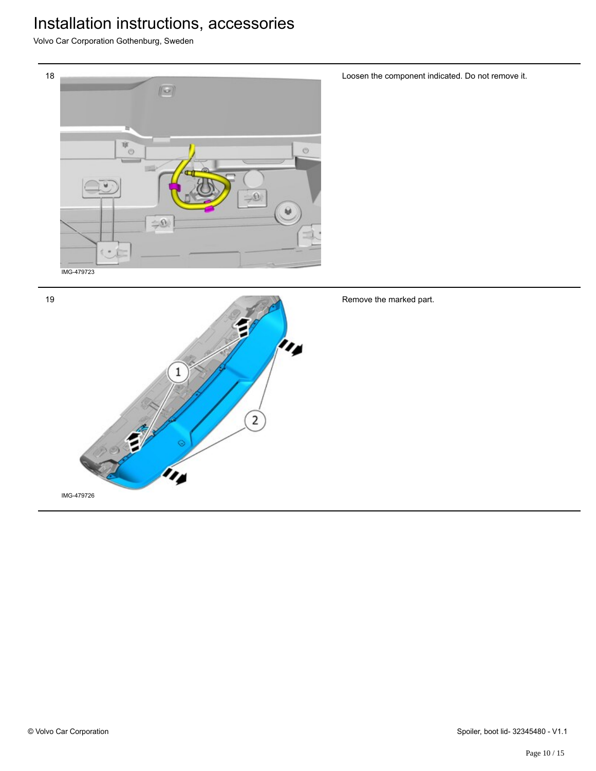Volvo Car Corporation Gothenburg, Sweden



Loosen the component indicated. Do not remove it.

Remove the marked part.

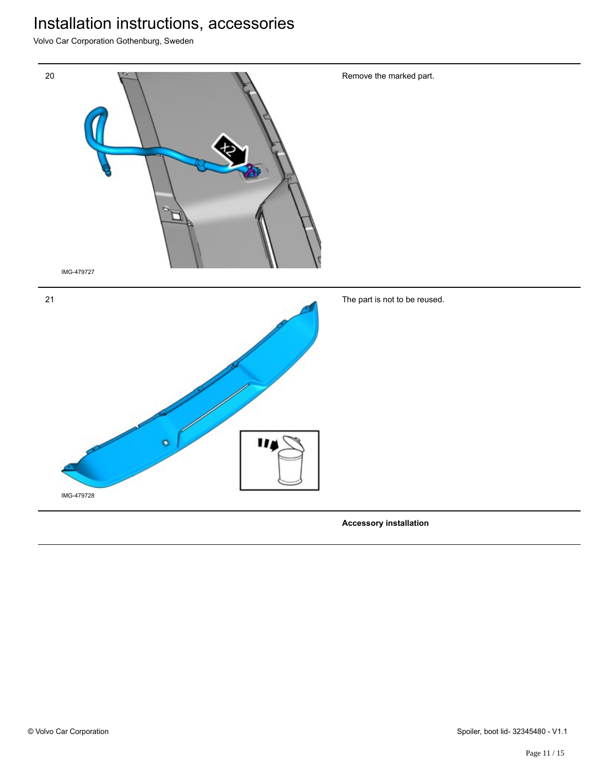Volvo Car Corporation Gothenburg, Sweden



**Accessory installation**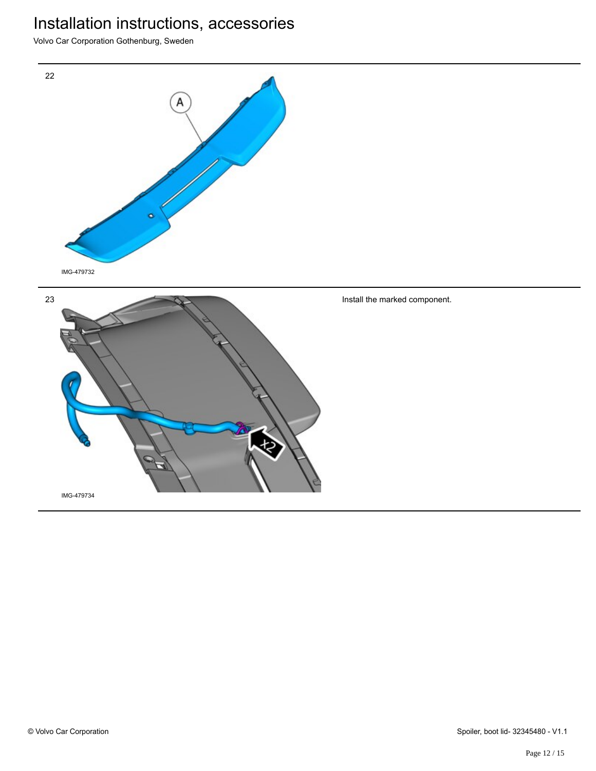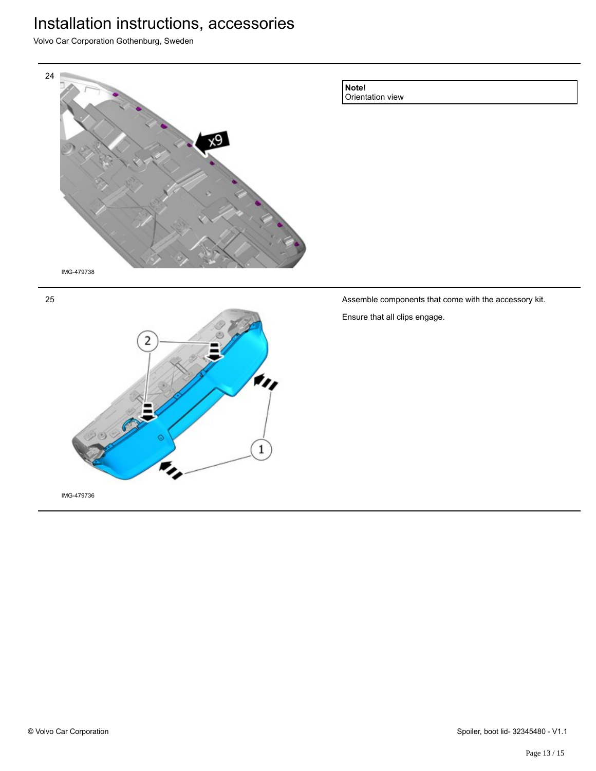Volvo Car Corporation Gothenburg, Sweden







Assemble components that come with the accessory kit.

Ensure that all clips engage.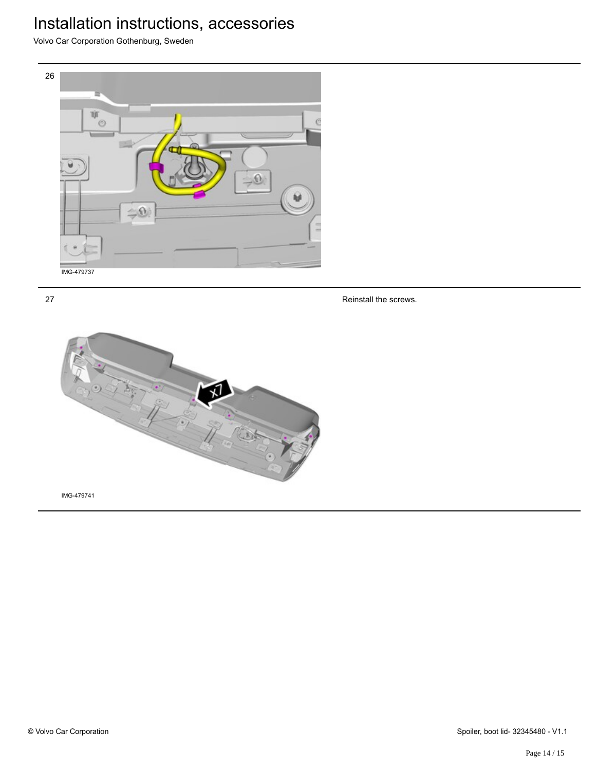Volvo Car Corporation Gothenburg, Sweden



27

Reinstall the screws.